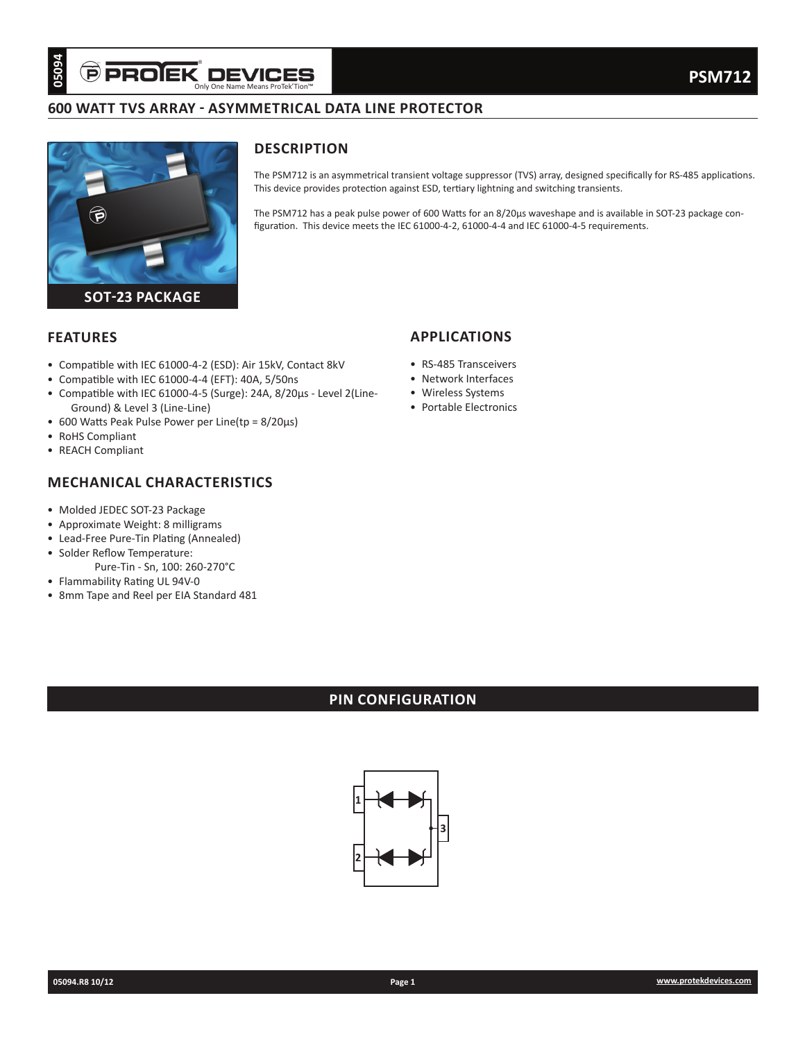# **600 WATT TVS ARRAY - ASYMMETRICAL DATA LINE PROTECTOR**



## **DESCRIPTION**

The PSM712 is an asymmetrical transient voltage suppressor (TVS) array, designed specifically for RS-485 applications. This device provides protection against ESD, tertiary lightning and switching transients.

The PSM712 has a peak pulse power of 600 Watts for an 8/20µs waveshape and is available in SOT-23 package configuration. This device meets the IEC 61000-4-2, 61000-4-4 and IEC 61000-4-5 requirements.

### **FEATURES**

- Compatible with IEC 61000-4-2 (ESD): Air 15kV, Contact 8kV
- Compatible with IEC 61000-4-4 (EFT): 40A, 5/50ns
- Compatible with IEC 61000-4-5 (Surge): 24A, 8/20µs Level 2(Line-Ground) & Level 3 (Line-Line)
- 600 Watts Peak Pulse Power per Line(tp = 8/20µs)
- RoHS Compliant
- REACH Compliant

## **MECHANICAL CHARACTERISTICS**

- Molded JEDEC SOT-23 Package
- Approximate Weight: 8 milligrams
- Lead-Free Pure-Tin Plating (Annealed)
- Solder Reflow Temperature:
	- Pure-Tin Sn, 100: 260-270°C
- Flammability Rating UL 94V-0
- 8mm Tape and Reel per EIA Standard 481

## **APPLICATIONS**

- RS-485 Transceivers
- Network Interfaces
- Wireless Systems
- Portable Electronics

# **PIN CONFIGURATION**

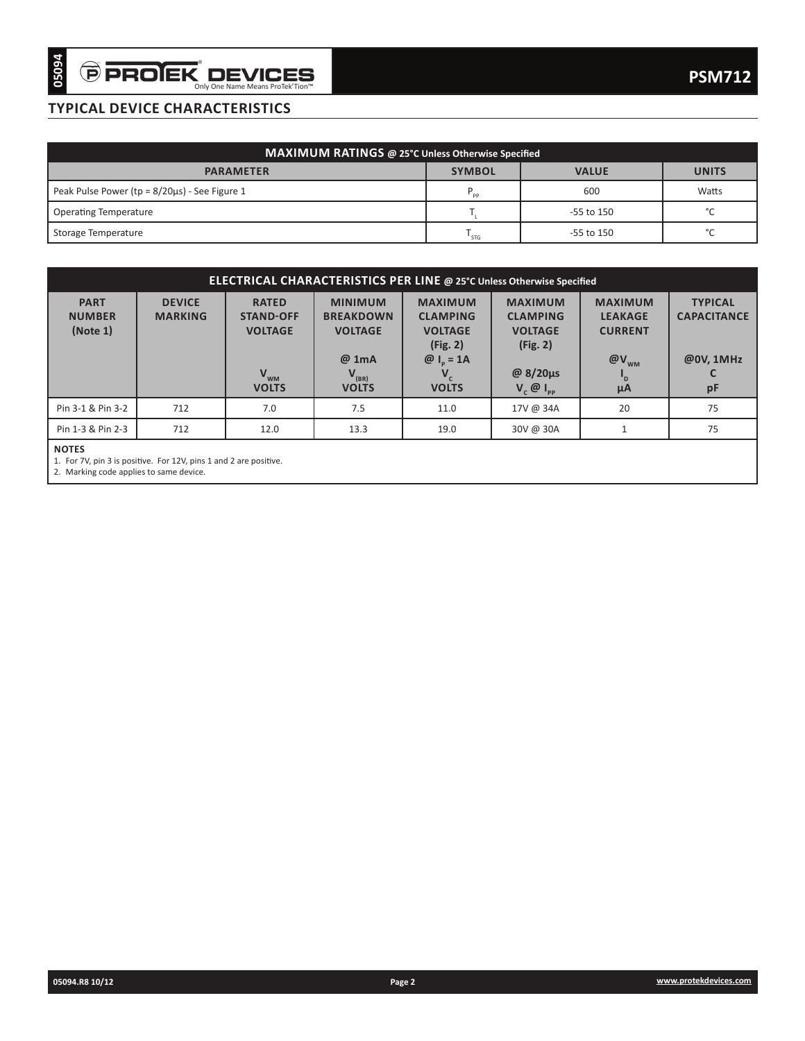# **TYPICAL DEVICE CHARACTERISTICS**

| MAXIMUM RATINGS @ 25°C Unless Otherwise Specified    |                |                |              |  |  |  |  |  |
|------------------------------------------------------|----------------|----------------|--------------|--|--|--|--|--|
| <b>PARAMETER</b>                                     | <b>SYMBOL</b>  | <b>VALUE</b>   | <b>UNITS</b> |  |  |  |  |  |
| Peak Pulse Power ( $tp = 8/20\mu s$ ) - See Figure 1 | P<br><b>PP</b> | 600            | Watts        |  |  |  |  |  |
| <b>Operating Temperature</b>                         |                | $-55$ to $150$ | $\sim$       |  |  |  |  |  |
| Storage Temperature                                  | ' STG          | $-55$ to 150   | $\sim$       |  |  |  |  |  |

| Peak Pulse Power (tp = 8/20µs) - See Figure 1<br><b>Operating Temperature</b><br>Storage Temperature<br><b>DEVICE</b><br><b>MARKING</b> | <b>PARAMETER</b>                                      | MAXIMUM RATINGS @ 25°C Unless Otherwise Specified                                | <b>SYMBOL</b><br>$\mathsf{P}_{\mathsf{pp}}$<br>$\mathsf{T}_{\mathsf{L}}$<br>$\mathsf{T}_{\mathsf{STG}}$ |                                                                 | <b>VALUE</b><br>600<br>-55 to 150                  | <b>UNITS</b><br>Watts<br>$^{\circ}{\rm C}$        |
|-----------------------------------------------------------------------------------------------------------------------------------------|-------------------------------------------------------|----------------------------------------------------------------------------------|---------------------------------------------------------------------------------------------------------|-----------------------------------------------------------------|----------------------------------------------------|---------------------------------------------------|
|                                                                                                                                         |                                                       |                                                                                  |                                                                                                         |                                                                 |                                                    |                                                   |
|                                                                                                                                         |                                                       |                                                                                  |                                                                                                         |                                                                 |                                                    |                                                   |
|                                                                                                                                         |                                                       |                                                                                  |                                                                                                         |                                                                 |                                                    |                                                   |
|                                                                                                                                         |                                                       |                                                                                  |                                                                                                         |                                                                 |                                                    |                                                   |
|                                                                                                                                         |                                                       |                                                                                  |                                                                                                         |                                                                 | -55 to 150                                         | $^{\circ}$ C                                      |
|                                                                                                                                         |                                                       |                                                                                  |                                                                                                         |                                                                 |                                                    |                                                   |
|                                                                                                                                         |                                                       | ELECTRICAL CHARACTERISTICS PER LINE @ 25°C Unless Otherwise Specified            |                                                                                                         |                                                                 |                                                    |                                                   |
|                                                                                                                                         | <b>RATED</b><br><b>STAND-OFF</b><br><b>VOLTAGE</b>    | <b>MINIMUM</b><br><b>BREAKDOWN</b><br><b>VOLTAGE</b><br>@ 1mA                    | <b>MAXIMUM</b><br><b>CLAMPING</b><br><b>VOLTAGE</b><br>(Fig. 2)                                         | <b>MAXIMUM</b><br><b>CLAMPING</b><br><b>VOLTAGE</b><br>(Fig. 2) | <b>MAXIMUM</b><br><b>LEAKAGE</b><br><b>CURRENT</b> | <b>TYPICAL</b><br><b>CAPACITANCE</b><br>@0V, 1MHz |
|                                                                                                                                         | $V_{WM}$                                              | $V_{\text{\tiny{(BR)}}}$ VOLTS                                                   | $@I_p = 1A$<br>$V_c$                                                                                    | @ 8/20μs                                                        | $@V_{_{WM}}$<br>$\mathsf{I}_{\mathsf{D}}$          | C                                                 |
|                                                                                                                                         | <b>VOLTS</b>                                          |                                                                                  | <b>VOLTS</b>                                                                                            | $V_{c}$ $\emptyset$ $I_{_{PP}}$                                 | μA                                                 | pF                                                |
|                                                                                                                                         |                                                       |                                                                                  |                                                                                                         |                                                                 |                                                    | 75                                                |
|                                                                                                                                         |                                                       |                                                                                  |                                                                                                         |                                                                 |                                                    | 75                                                |
|                                                                                                                                         |                                                       |                                                                                  |                                                                                                         |                                                                 |                                                    |                                                   |
|                                                                                                                                         |                                                       |                                                                                  |                                                                                                         |                                                                 |                                                    |                                                   |
|                                                                                                                                         |                                                       |                                                                                  |                                                                                                         |                                                                 |                                                    |                                                   |
|                                                                                                                                         |                                                       |                                                                                  |                                                                                                         |                                                                 |                                                    |                                                   |
|                                                                                                                                         |                                                       |                                                                                  |                                                                                                         |                                                                 |                                                    |                                                   |
|                                                                                                                                         | 712<br>712<br>2. Marking code applies to same device. | 7.0<br>12.0<br>1. For 7V, pin 3 is positive. For 12V, pins 1 and 2 are positive. | 7.5<br>13.3                                                                                             | 11.0<br>19.0                                                    | 17V @ 34A<br>30V @ 30A                             | 20<br>$\mathbf{1}$                                |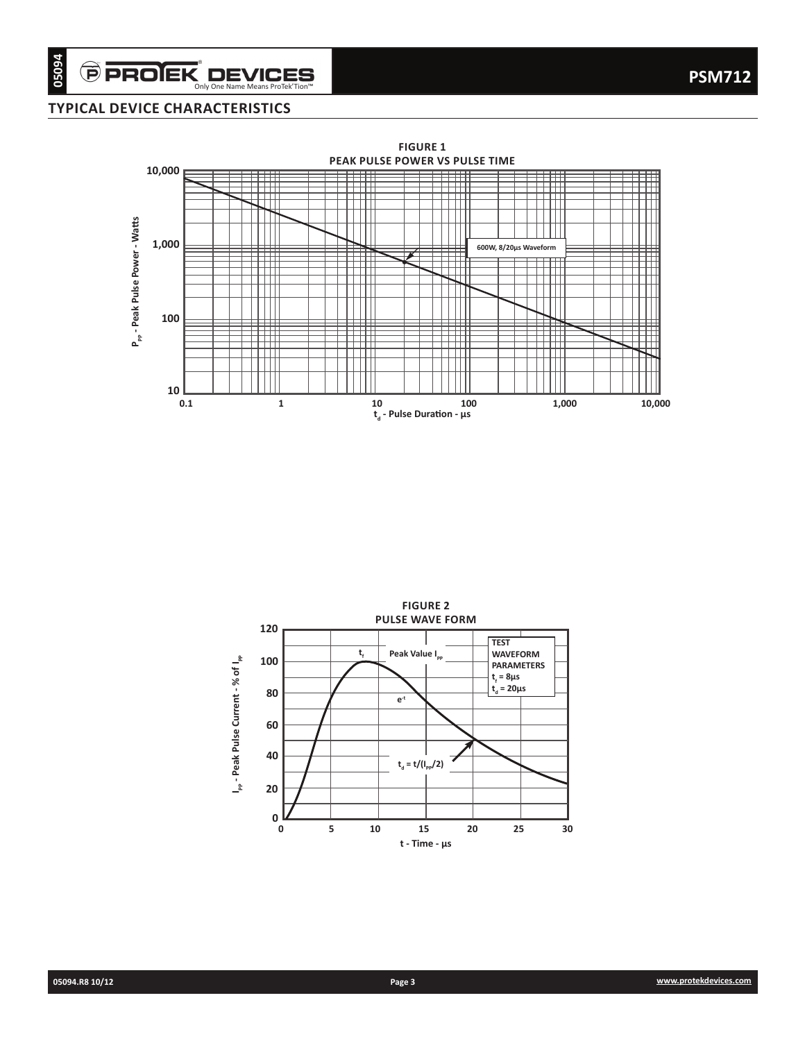## **TYPICAL DEVICE CHARACTERISTICS**



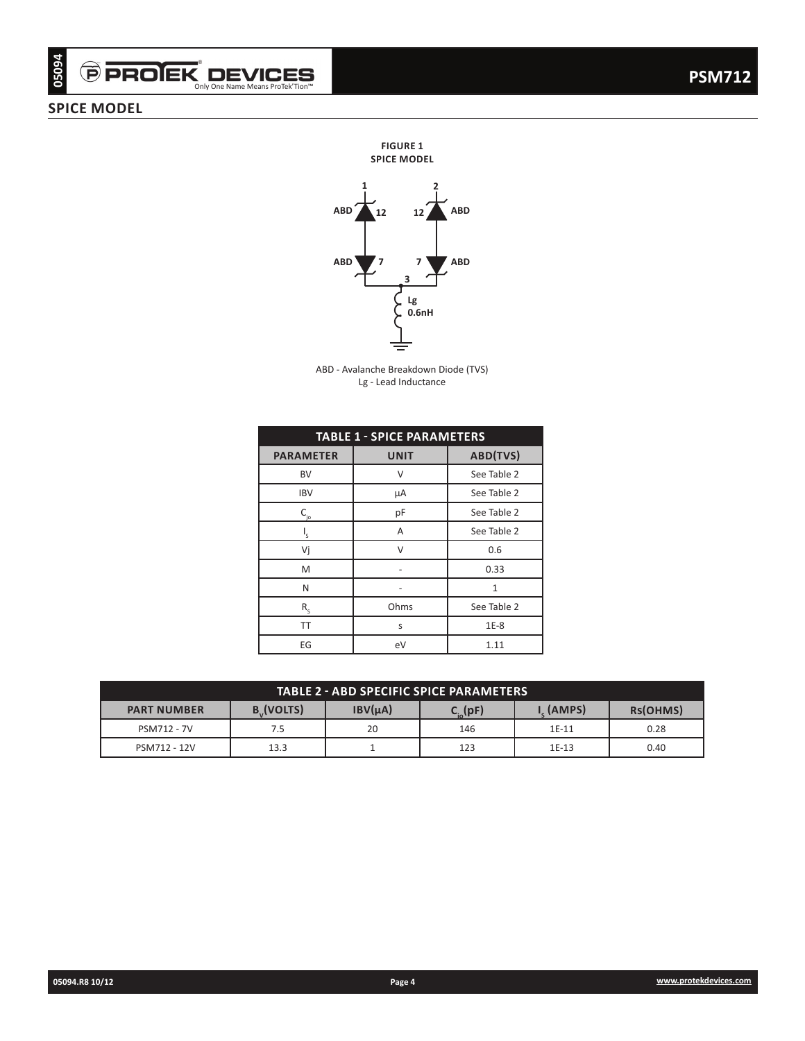# Only One Name Means ProTek'Tion™

## **SPICE MODEL**



ABD - Avalanche Breakdown Diode (TVS) Lg - Lead Inductance

| <b>PICE MODEL</b>  |                                 |                                                               |                                         |              |          |
|--------------------|---------------------------------|---------------------------------------------------------------|-----------------------------------------|--------------|----------|
|                    |                                 | <b>FIGURE 1</b><br><b>SPICE MODEL</b>                         |                                         |              |          |
|                    |                                 |                                                               |                                         |              |          |
|                    |                                 | ABD <sup>'</sup><br>12                                        | <b>ABD</b><br>12                        |              |          |
|                    |                                 |                                                               |                                         |              |          |
|                    |                                 |                                                               |                                         |              |          |
|                    |                                 | <b>ABD</b><br>3                                               | <b>ABD</b><br>7                         |              |          |
|                    |                                 | Lg                                                            |                                         |              |          |
|                    |                                 |                                                               | 0.6nH                                   |              |          |
|                    |                                 |                                                               |                                         |              |          |
|                    |                                 |                                                               |                                         |              |          |
|                    |                                 | ABD - Avalanche Breakdown Diode (TVS)<br>Lg - Lead Inductance |                                         |              |          |
|                    |                                 |                                                               |                                         |              |          |
|                    |                                 |                                                               |                                         |              |          |
|                    | <b>PARAMETER</b>                | <b>TABLE 1 - SPICE PARAMETERS</b><br><b>UNIT</b>              | ABD(TVS)                                |              |          |
|                    |                                 |                                                               |                                         |              |          |
|                    | <b>BV</b><br><b>IBV</b>         | $\mathsf V$<br>μA                                             | See Table 2<br>See Table 2              |              |          |
|                    | $C_{j_0}$                       | pF                                                            | See Table 2                             |              |          |
|                    | $\mathsf{I}_{\mathsf{S}}$       | $\boldsymbol{\mathsf{A}}$                                     | See Table 2                             |              |          |
|                    | Vj                              | $\mathsf{V}$                                                  | $0.6\,$                                 |              |          |
|                    | ${\sf M}$                       | $\bar{\phantom{a}}$                                           | 0.33                                    |              |          |
|                    | N                               | $\bar{\phantom{a}}$                                           | $\mathbf 1$                             |              |          |
|                    | $\mathsf{R}_{\mathsf{s}}$<br>TT | Ohms<br>$\sf S$                                               | See Table 2<br>$1E-8$                   |              |          |
|                    | $\mathsf{E}\mathsf{G}$          | $\mathsf{e}\mathsf{V}$                                        | $1.11\,$                                |              |          |
|                    |                                 |                                                               |                                         |              |          |
|                    |                                 |                                                               | TABLE 2 - ABD SPECIFIC SPICE PARAMETERS |              |          |
|                    |                                 |                                                               |                                         | $I_S$ (AMPS) | Rs(OHMS) |
| <b>PART NUMBER</b> |                                 |                                                               |                                         |              |          |
| PSM712 - 7V        | $B_{v}$ (VOLTS)<br>$7.5\,$      | $IBV(\mu A)$<br>$20\,$                                        | $C_{i0}(pF)$<br>146                     | $1E-11$      | 0.28     |

| <b>TABLE 2 - ABD SPECIFIC SPICE PARAMETERS</b>                                                                                       |      |    |     |         |      |  |  |  |
|--------------------------------------------------------------------------------------------------------------------------------------|------|----|-----|---------|------|--|--|--|
| <b>B</b> <sub>J</sub> (VOLTS)<br>IBV(uA)<br>. (AMPS)<br>RS(OHMS)<br><b>PART NUMBER</b><br>$\mathsf{C}_{_{\mathsf{io}}}(\mathsf{pF})$ |      |    |     |         |      |  |  |  |
| PSM712 - 7V                                                                                                                          | 7.5  | 20 | 146 | $1E-11$ | 0.28 |  |  |  |
| PSM712 - 12V                                                                                                                         | 13.3 |    | 123 | $1E-13$ | 0.40 |  |  |  |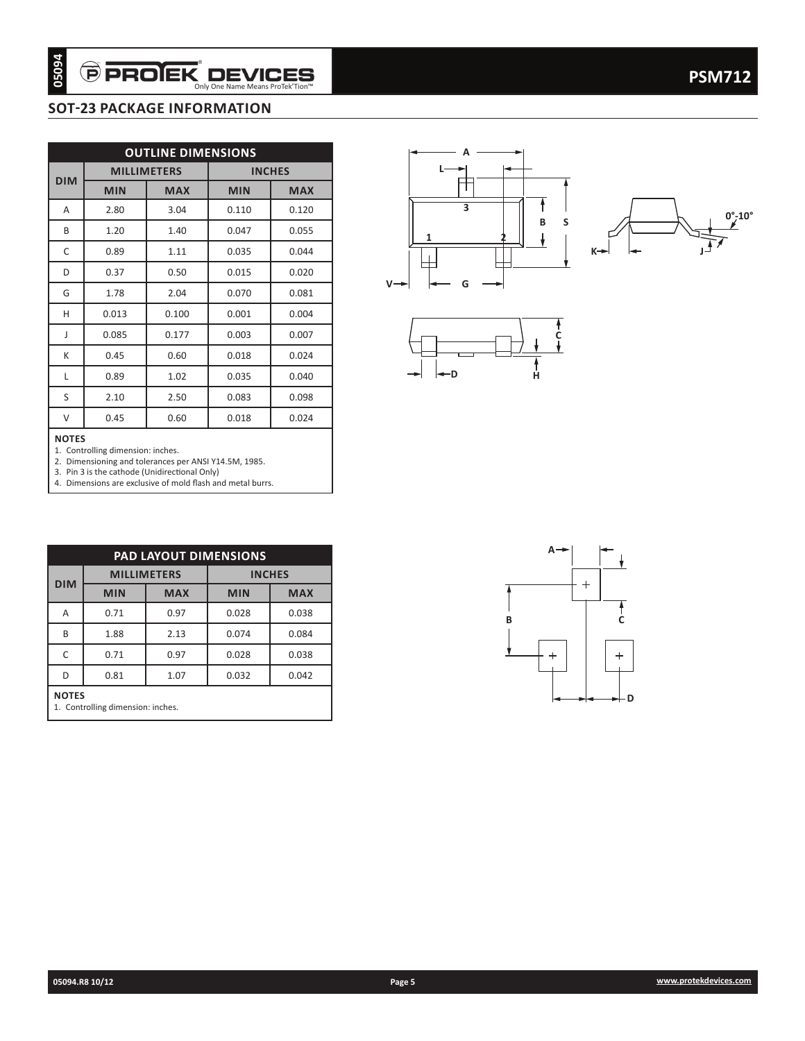## **SOT-23 PACKAGE INFORMATION**

| 05094        | Ô                                 |                           | <b>PROJEK DEVICES</b><br>Only One Name Means ProTek'Tion™ |                | <b>PSM712</b>                                   |
|--------------|-----------------------------------|---------------------------|-----------------------------------------------------------|----------------|-------------------------------------------------|
|              |                                   |                           | <b>SOT-23 PACKAGE INFORMATION</b>                         |                |                                                 |
|              |                                   |                           |                                                           |                |                                                 |
|              |                                   | <b>OUTLINE DIMENSIONS</b> |                                                           |                |                                                 |
| <b>DIM</b>   |                                   | <b>MILLIMETERS</b>        |                                                           | <b>INCHES</b>  |                                                 |
|              | <b>MIN</b>                        | <b>MAX</b>                | <b>MIN</b>                                                | <b>MAX</b>     | 3                                               |
| Α            | 2.80                              | 3.04                      | 0.110                                                     | 0.120          | S<br>В                                          |
| B            | 1.20                              | 1.40                      | 0.047                                                     | 0.055          | 1                                               |
| $\mathsf C$  | 0.89                              | 1.11                      | 0.035                                                     | 0.044          | K⊣<br>┯                                         |
| D            | 0.37                              | 0.50                      | 0.015                                                     | 0.020          | $V \rightarrow$<br>G                            |
| G            | 1.78                              | 2.04                      | 0.070                                                     | 0.081          |                                                 |
| H            | 0.013                             | 0.100                     | 0.001                                                     | 0.004          |                                                 |
| J<br>К       | 0.085<br>0.45                     | 0.177<br>0.60             | 0.003<br>0.018                                            | 0.007<br>0.024 |                                                 |
| L            | 0.89                              | 1.02                      | 0.035                                                     | 0.040          | -D<br>Ĥ                                         |
| $\mathsf S$  | 2.10                              | 2.50                      | 0.083                                                     | 0.098          |                                                 |
| $\vee$       | 0.45                              | 0.60                      | 0.018                                                     | 0.024          |                                                 |
|              |                                   |                           | PAD LAYOUT DIMENSIONS                                     |                | $A \rightarrow$                                 |
|              |                                   | <b>MILLIMETERS</b>        |                                                           | <b>INCHES</b>  |                                                 |
| <b>DIM</b>   | <b>MIN</b>                        | <b>MAX</b>                | <b>MIN</b>                                                | <b>MAX</b>     | $\ddot{}$                                       |
| Α            | 0.71                              | 0.97                      | 0.028                                                     | 0.038          | C<br>В                                          |
| B            | 1.88                              | 2.13                      | 0.074                                                     | 0.084          |                                                 |
| $\mathsf C$  | 0.71                              | 0.97                      | 0.028                                                     | 0.038          | ≛<br>$^{+}$<br>$\begin{array}{c} + \end{array}$ |
| $\mathsf D$  | 0.81                              | $1.07\,$                  | 0.032                                                     | 0.042          |                                                 |
| <b>NOTES</b> | 1. Controlling dimension: inches. |                           |                                                           |                | ⊢D                                              |
|              |                                   |                           |                                                           |                |                                                 |
|              |                                   |                           |                                                           |                |                                                 |







#### **NOTES**

| <b>PAD LAYOUT DIMENSIONS</b>                      |            |                                     |            |            |  |  |  |  |  |  |
|---------------------------------------------------|------------|-------------------------------------|------------|------------|--|--|--|--|--|--|
| <b>DIM</b>                                        |            | <b>MILLIMETERS</b><br><b>INCHES</b> |            |            |  |  |  |  |  |  |
|                                                   | <b>MIN</b> | <b>MAX</b>                          | <b>MIN</b> | <b>MAX</b> |  |  |  |  |  |  |
| Α                                                 | 0.71       | 0.97                                | 0.028      | 0.038      |  |  |  |  |  |  |
| B                                                 | 1.88       | 2.13                                | 0.074      | 0.084      |  |  |  |  |  |  |
| C                                                 | 0.71       | 0.97                                | 0.028      | 0.038      |  |  |  |  |  |  |
| 1.07<br>0.032<br>0.042<br>0.81<br>D               |            |                                     |            |            |  |  |  |  |  |  |
| <b>NOTES</b><br>1. Controlling dimension: inches. |            |                                     |            |            |  |  |  |  |  |  |

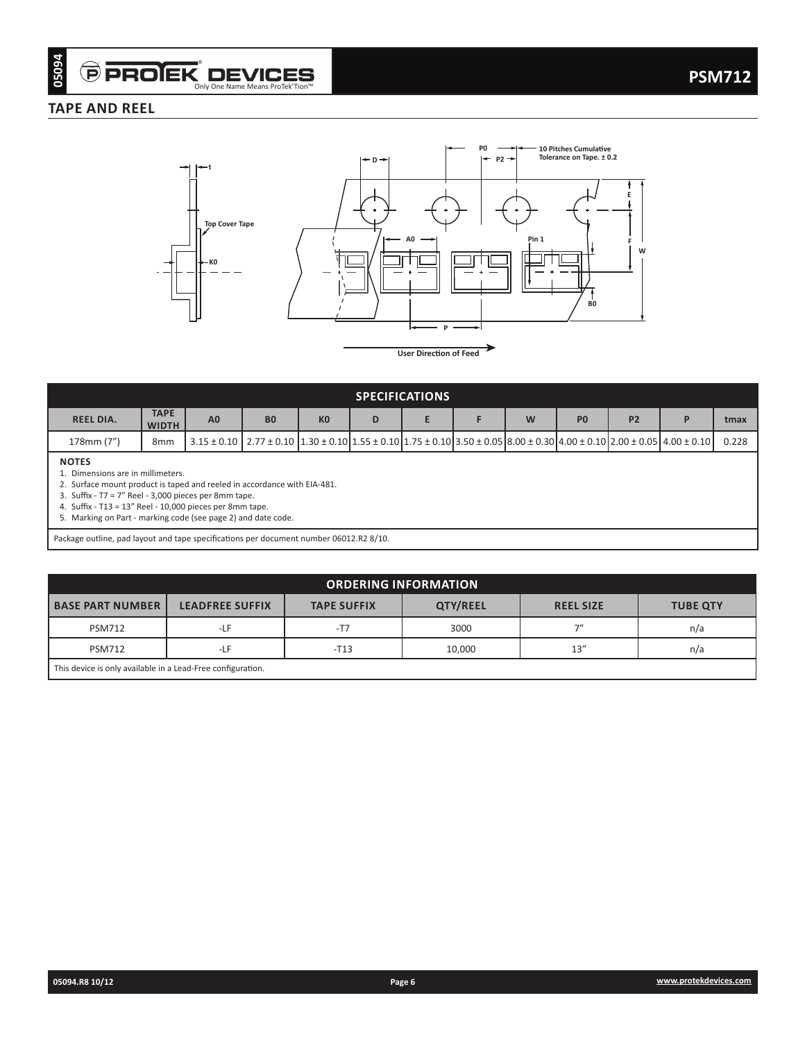## **TAPE AND REEL**



**User Direction of Feed**

| <b>SPECIFICATIONS</b>                          |                             |                                                                                                                                                                                   |                |                |   |  |  |   |                |                |       |
|------------------------------------------------|-----------------------------|-----------------------------------------------------------------------------------------------------------------------------------------------------------------------------------|----------------|----------------|---|--|--|---|----------------|----------------|-------|
| <b>REEL DIA.</b>                               | <b>TAPE</b><br><b>WIDTH</b> | A <sub>0</sub>                                                                                                                                                                    | B <sub>0</sub> | K <sub>0</sub> | D |  |  | W | P <sub>0</sub> | P <sub>2</sub> | tmax  |
| 178mm (7")                                     | 8 <sub>mm</sub>             | $3.15 \pm 0.10$   2.77 $\pm$ 0.10   1.30 $\pm$ 0.10   1.55 $\pm$ 0.10   1.75 $\pm$ 0.10   3.50 $\pm$ 0.05   8.00 $\pm$ 0.30   4.00 $\pm$ 0.10   2.00 $\pm$ 0.05   4.00 $\pm$ 0.10 |                |                |   |  |  |   |                |                | 0.228 |
| <b>NOTES</b><br>Dimensions are in millimeters. |                             |                                                                                                                                                                                   |                |                |   |  |  |   |                |                |       |

2. Surface mount product is taped and reeled in accordance with EIA-481.

3. Suffix - T7 = 7" Reel - 3,000 pieces per 8mm tape.

4. Suffix - T13 = 13" Reel - 10,000 pieces per 8mm tape.

5. Marking on Part - marking code (see page 2) and date code.

Package outline, pad layout and tape specifications per document number 06012.R2 8/10.

| <b>ORDERING INFORMATION</b>                                |                        |                    |          |                  |                 |  |  |  |  |
|------------------------------------------------------------|------------------------|--------------------|----------|------------------|-----------------|--|--|--|--|
| <b>BASE PART NUMBER I</b>                                  | <b>LEADFREE SUFFIX</b> | <b>TAPE SUFFIX</b> | QTY/REEL | <b>REEL SIZE</b> | <b>TUBE QTY</b> |  |  |  |  |
| <b>PSM712</b>                                              | $-LF$                  | $-T7$              | 3000     | 7''              | n/a             |  |  |  |  |
| <b>PSM712</b>                                              | $-LF$                  | $-T13$             | 10,000   | 13''             | n/a             |  |  |  |  |
| This device is only available in a Lead-Free configuration |                        |                    |          |                  |                 |  |  |  |  |

This device is only available in a Lead-Free configuration.